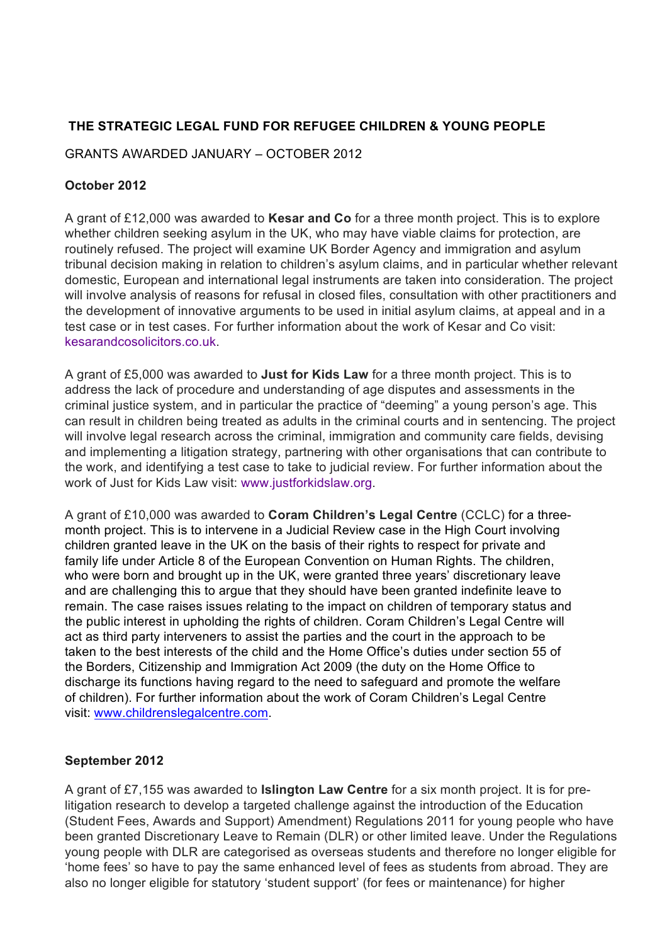# **THE STRATEGIC LEGAL FUND FOR REFUGEE CHILDREN & YOUNG PEOPLE**

GRANTS AWARDED JANUARY – OCTOBER 2012

## **October 2012**

A grant of £12,000 was awarded to **Kesar and Co** for a three month project. This is to explore whether children seeking asylum in the UK, who may have viable claims for protection, are routinely refused. The project will examine UK Border Agency and immigration and asylum tribunal decision making in relation to children's asylum claims, and in particular whether relevant domestic, European and international legal instruments are taken into consideration. The project will involve analysis of reasons for refusal in closed files, consultation with other practitioners and the development of innovative arguments to be used in initial asylum claims, at appeal and in a test case or in test cases. For further information about the work of Kesar and Co visit: kesarandcosolicitors.co.uk.

A grant of £5,000 was awarded to **Just for Kids Law** for a three month project. This is to address the lack of procedure and understanding of age disputes and assessments in the criminal justice system, and in particular the practice of "deeming" a young person's age. This can result in children being treated as adults in the criminal courts and in sentencing. The project will involve legal research across the criminal, immigration and community care fields, devising and implementing a litigation strategy, partnering with other organisations that can contribute to the work, and identifying a test case to take to judicial review. For further information about the work of Just for Kids Law visit: www.justforkidslaw.org.

A grant of £10,000 was awarded to **Coram Children's Legal Centre** (CCLC) for a threemonth project. This is to intervene in a Judicial Review case in the High Court involving children granted leave in the UK on the basis of their rights to respect for private and family life under Article 8 of the European Convention on Human Rights. The children, who were born and brought up in the UK, were granted three years' discretionary leave and are challenging this to argue that they should have been granted indefinite leave to remain. The case raises issues relating to the impact on children of temporary status and the public interest in upholding the rights of children. Coram Children's Legal Centre will act as third party interveners to assist the parties and the court in the approach to be taken to the best interests of the child and the Home Office's duties under section 55 of the Borders, Citizenship and Immigration Act 2009 (the duty on the Home Office to discharge its functions having regard to the need to safeguard and promote the welfare of children). For further information about the work of Coram Children's Legal Centre visit: www.childrenslegalcentre.com.

### **September 2012**

A grant of £7,155 was awarded to **Islington Law Centre** for a six month project. It is for prelitigation research to develop a targeted challenge against the introduction of the Education (Student Fees, Awards and Support) Amendment) Regulations 2011 for young people who have been granted Discretionary Leave to Remain (DLR) or other limited leave. Under the Regulations young people with DLR are categorised as overseas students and therefore no longer eligible for 'home fees' so have to pay the same enhanced level of fees as students from abroad. They are also no longer eligible for statutory 'student support' (for fees or maintenance) for higher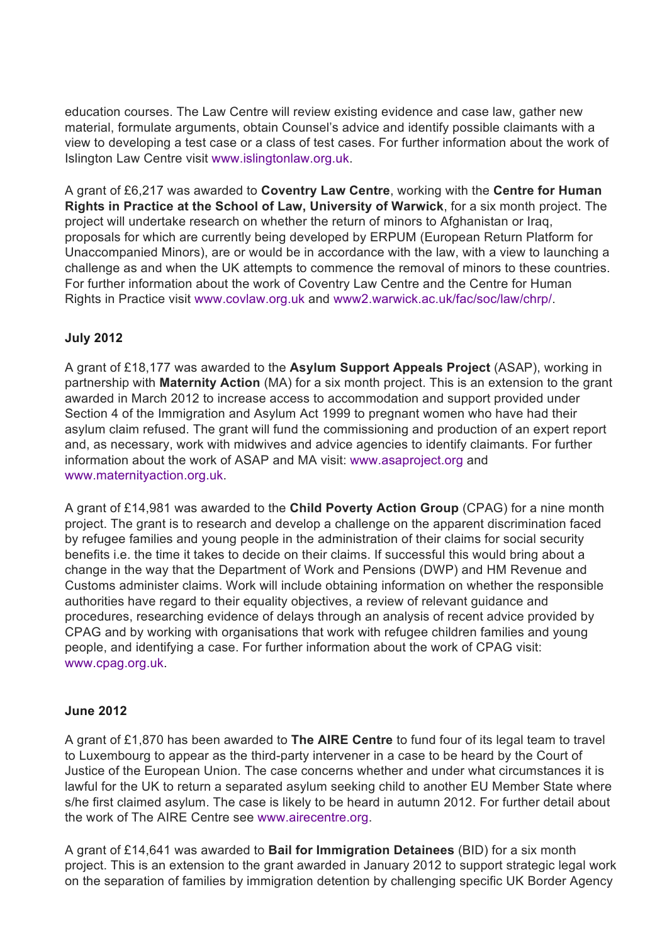education courses. The Law Centre will review existing evidence and case law, gather new material, formulate arguments, obtain Counsel's advice and identify possible claimants with a view to developing a test case or a class of test cases. For further information about the work of Islington Law Centre visit www.islingtonlaw.org.uk.

A grant of £6,217 was awarded to **Coventry Law Centre**, working with the **Centre for Human Rights in Practice at the School of Law, University of Warwick**, for a six month project. The project will undertake research on whether the return of minors to Afghanistan or Iraq, proposals for which are currently being developed by ERPUM (European Return Platform for Unaccompanied Minors), are or would be in accordance with the law, with a view to launching a challenge as and when the UK attempts to commence the removal of minors to these countries. For further information about the work of Coventry Law Centre and the Centre for Human Rights in Practice visit www.covlaw.org.uk and www2.warwick.ac.uk/fac/soc/law/chrp/.

### **July 2012**

A grant of £18,177 was awarded to the **Asylum Support Appeals Project** (ASAP), working in partnership with **Maternity Action** (MA) for a six month project. This is an extension to the grant awarded in March 2012 to increase access to accommodation and support provided under Section 4 of the Immigration and Asylum Act 1999 to pregnant women who have had their asylum claim refused. The grant will fund the commissioning and production of an expert report and, as necessary, work with midwives and advice agencies to identify claimants. For further information about the work of ASAP and MA visit: www.asaproject.org and www.maternityaction.org.uk.

A grant of £14,981 was awarded to the **Child Poverty Action Group** (CPAG) for a nine month project. The grant is to research and develop a challenge on the apparent discrimination faced by refugee families and young people in the administration of their claims for social security benefits i.e. the time it takes to decide on their claims. If successful this would bring about a change in the way that the Department of Work and Pensions (DWP) and HM Revenue and Customs administer claims. Work will include obtaining information on whether the responsible authorities have regard to their equality objectives, a review of relevant guidance and procedures, researching evidence of delays through an analysis of recent advice provided by CPAG and by working with organisations that work with refugee children families and young people, and identifying a case. For further information about the work of CPAG visit: www.cpag.org.uk.

### **June 2012**

A grant of £1,870 has been awarded to **The AIRE Centre** to fund four of its legal team to travel to Luxembourg to appear as the third-party intervener in a case to be heard by the Court of Justice of the European Union. The case concerns whether and under what circumstances it is lawful for the UK to return a separated asylum seeking child to another EU Member State where s/he first claimed asylum. The case is likely to be heard in autumn 2012. For further detail about the work of The AIRE Centre see www.airecentre.org.

A grant of £14,641 was awarded to **Bail for Immigration Detainees** (BID) for a six month project. This is an extension to the grant awarded in January 2012 to support strategic legal work on the separation of families by immigration detention by challenging specific UK Border Agency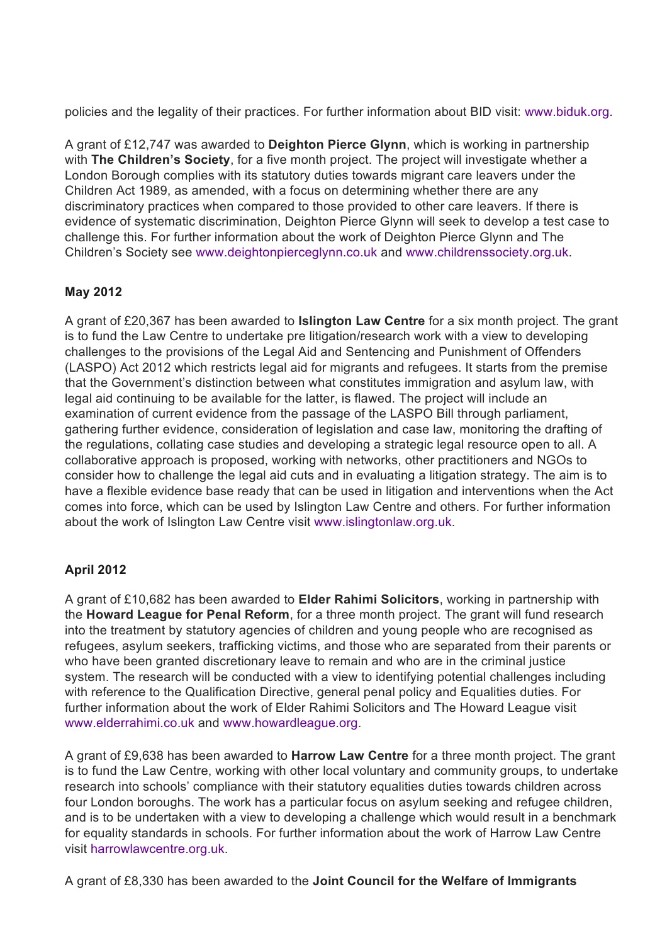policies and the legality of their practices. For further information about BID visit: www.biduk.org.

A grant of £12,747 was awarded to **Deighton Pierce Glynn**, which is working in partnership with **The Children's Society**, for a five month project. The project will investigate whether a London Borough complies with its statutory duties towards migrant care leavers under the Children Act 1989, as amended, with a focus on determining whether there are any discriminatory practices when compared to those provided to other care leavers. If there is evidence of systematic discrimination, Deighton Pierce Glynn will seek to develop a test case to challenge this. For further information about the work of Deighton Pierce Glynn and The Children's Society see www.deightonpierceglynn.co.uk and www.childrenssociety.org.uk.

### **May 2012**

A grant of £20,367 has been awarded to **Islington Law Centre** for a six month project. The grant is to fund the Law Centre to undertake pre litigation/research work with a view to developing challenges to the provisions of the Legal Aid and Sentencing and Punishment of Offenders (LASPO) Act 2012 which restricts legal aid for migrants and refugees. It starts from the premise that the Government's distinction between what constitutes immigration and asylum law, with legal aid continuing to be available for the latter, is flawed. The project will include an examination of current evidence from the passage of the LASPO Bill through parliament, gathering further evidence, consideration of legislation and case law, monitoring the drafting of the regulations, collating case studies and developing a strategic legal resource open to all. A collaborative approach is proposed, working with networks, other practitioners and NGOs to consider how to challenge the legal aid cuts and in evaluating a litigation strategy. The aim is to have a flexible evidence base ready that can be used in litigation and interventions when the Act comes into force, which can be used by Islington Law Centre and others. For further information about the work of Islington Law Centre visit www.islingtonlaw.org.uk.

### **April 2012**

A grant of £10,682 has been awarded to **Elder Rahimi Solicitors**, working in partnership with the **Howard League for Penal Reform**, for a three month project. The grant will fund research into the treatment by statutory agencies of children and young people who are recognised as refugees, asylum seekers, trafficking victims, and those who are separated from their parents or who have been granted discretionary leave to remain and who are in the criminal justice system. The research will be conducted with a view to identifying potential challenges including with reference to the Qualification Directive, general penal policy and Equalities duties. For further information about the work of Elder Rahimi Solicitors and The Howard League visit www.elderrahimi.co.uk and www.howardleague.org.

A grant of £9,638 has been awarded to **Harrow Law Centre** for a three month project. The grant is to fund the Law Centre, working with other local voluntary and community groups, to undertake research into schools' compliance with their statutory equalities duties towards children across four London boroughs. The work has a particular focus on asylum seeking and refugee children, and is to be undertaken with a view to developing a challenge which would result in a benchmark for equality standards in schools. For further information about the work of Harrow Law Centre visit harrowlawcentre.org.uk.

A grant of £8,330 has been awarded to the **Joint Council for the Welfare of Immigrants**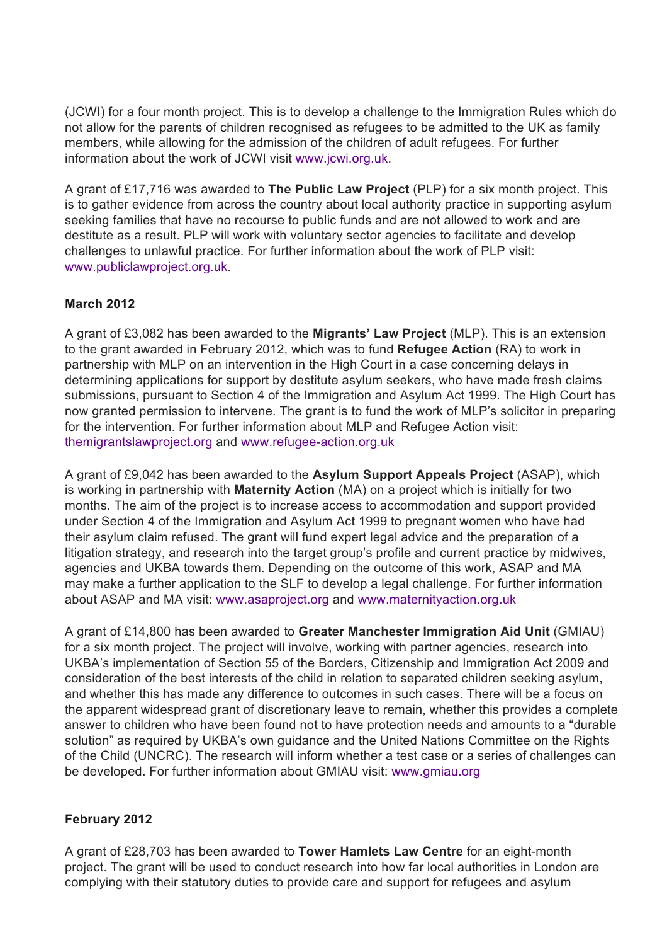(JCWI) for a four month project. This is to develop a challenge to the Immigration Rules which do not allow for the parents of children recognised as refugees to be admitted to the UK as family members, while allowing for the admission of the children of adult refugees. For further information about the work of JCWI visit www.jcwi.org.uk.

A grant of £17,716 was awarded to **The Public Law Project** (PLP) for a six month project. This is to gather evidence from across the country about local authority practice in supporting asylum seeking families that have no recourse to public funds and are not allowed to work and are destitute as a result. PLP will work with voluntary sector agencies to facilitate and develop challenges to unlawful practice. For further information about the work of PLP visit: www.publiclawproject.org.uk.

### **March 2012**

A grant of £3,082 has been awarded to the **Migrants' Law Project** (MLP). This is an extension to the grant awarded in February 2012, which was to fund **Refugee Action** (RA) to work in partnership with MLP on an intervention in the High Court in a case concerning delays in determining applications for support by destitute asylum seekers, who have made fresh claims submissions, pursuant to Section 4 of the Immigration and Asylum Act 1999. The High Court has now granted permission to intervene. The grant is to fund the work of MLP's solicitor in preparing for the intervention. For further information about MLP and Refugee Action visit: themigrantslawproject.org and www.refugee-action.org.uk

A grant of £9,042 has been awarded to the **Asylum Support Appeals Project** (ASAP), which is working in partnership with **Maternity Action** (MA) on a project which is initially for two months. The aim of the project is to increase access to accommodation and support provided under Section 4 of the Immigration and Asylum Act 1999 to pregnant women who have had their asylum claim refused. The grant will fund expert legal advice and the preparation of a litigation strategy, and research into the target group's profile and current practice by midwives, agencies and UKBA towards them. Depending on the outcome of this work, ASAP and MA may make a further application to the SLF to develop a legal challenge. For further information about ASAP and MA visit: www.asaproject.org and www.maternityaction.org.uk

A grant of £14,800 has been awarded to **Greater Manchester Immigration Aid Unit** (GMIAU) for a six month project. The project will involve, working with partner agencies, research into UKBA's implementation of Section 55 of the Borders, Citizenship and Immigration Act 2009 and consideration of the best interests of the child in relation to separated children seeking asylum, and whether this has made any difference to outcomes in such cases. There will be a focus on the apparent widespread grant of discretionary leave to remain, whether this provides a complete answer to children who have been found not to have protection needs and amounts to a "durable solution" as required by UKBA's own guidance and the United Nations Committee on the Rights of the Child (UNCRC). The research will inform whether a test case or a series of challenges can be developed. For further information about GMIAU visit: www.gmiau.org

### **February 2012**

A grant of £28,703 has been awarded to **Tower Hamlets Law Centre** for an eight-month project. The grant will be used to conduct research into how far local authorities in London are complying with their statutory duties to provide care and support for refugees and asylum